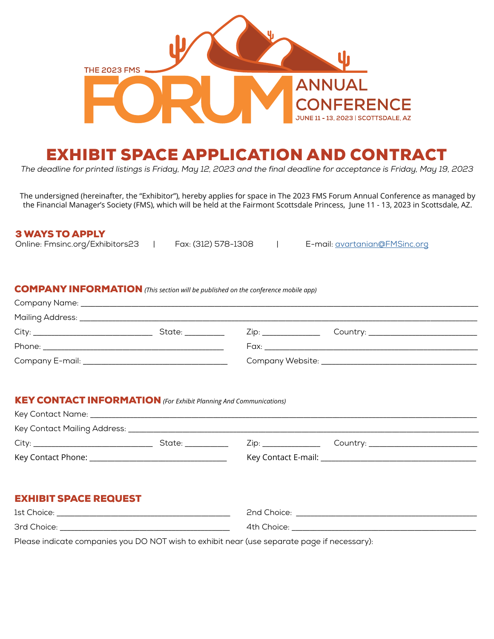

# EXHIBIT SPACE APPLICATION AND CONTRACT

*The deadline for printed listings is Friday, May 12, 2023 and the final deadline for acceptance is Friday, May 19, 2023*

The undersigned (hereinafter, the "Exhibitor"), hereby applies for space in The 2023 FMS Forum Annual Conference as managed by the Financial Manager's Society (FMS), which will be held at the Fairmont Scottsdale Princess, June 11 - 13, 2023 in Scottsdale, AZ.

### 3 WAYS TO APPLY

Online: Fmsinc.org/Exhibitors23 | Fax: (312) 578-1308 | E-mail: [avartanian@FMSinc.org](mailto:avartanian%40fmsinc.org?subject=Forum%20Booth%20Assigment)

### COMPANY INFORMATION *(This section will be published on the conference mobile app)*

| State: ________ | Zip: | Country: ___________________________                                                                                                                                                                                           |  |
|-----------------|------|--------------------------------------------------------------------------------------------------------------------------------------------------------------------------------------------------------------------------------|--|
|                 |      | Fax: Francisco Communication of the Communication of the Communication of the Communication of the Communication of the Communication of the Communication of the Communication of the Communication of the Communication of t |  |
|                 |      |                                                                                                                                                                                                                                |  |

#### KEY CONTACT INFORMATION *(For Exhibit Planning And Communications)*

|  | State: the state of the state of the state of the state of the state of the state of the state of the state of the state of the state of the state of the state of the state of the state of the state of the state of the sta | Zip: _____________ | Country: ________________________ |
|--|--------------------------------------------------------------------------------------------------------------------------------------------------------------------------------------------------------------------------------|--------------------|-----------------------------------|
|  |                                                                                                                                                                                                                                |                    |                                   |
|  |                                                                                                                                                                                                                                |                    |                                   |

### EXHIBIT SPACE REQUEST

| 1st Choice:                                                                                                                                                                                                                                | 2nd Choice:    |
|--------------------------------------------------------------------------------------------------------------------------------------------------------------------------------------------------------------------------------------------|----------------|
| 3rd Choice:                                                                                                                                                                                                                                | 4th Choice:    |
| $\sim$<br>$\cdots$ . The contract of the contract of the contract of the contract of the contract of the contract of the contract of the contract of the contract of the contract of the contract of the contract of the contract of the c | $\cdot$ $\sim$ |

Please indicate companies you DO NOT wish to exhibit near (use separate page if necessary):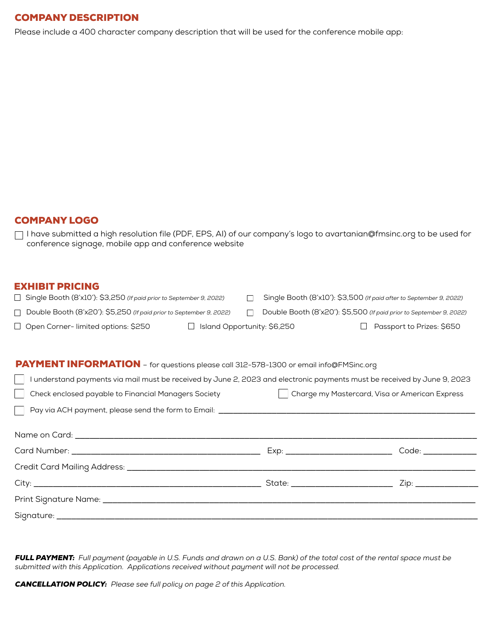## COMPANY DESCRIPTION

Please include a 400 character company description that will be used for the conference mobile app:

### COMPANY LOGO

I have submitted a high resolution file (PDF, EPS, AI) of our company's logo to avartanian@fmsinc.org to be used for conference signage, mobile app and conference website

### EXHIBIT PRICING

| □ Single Booth (8'x10'): \$3,250 (If paid prior to September 9, 2022) |                                    | Single Booth (8'x10'): \$3,500 (If paid after to September 9, 2022) |                                                                     |
|-----------------------------------------------------------------------|------------------------------------|---------------------------------------------------------------------|---------------------------------------------------------------------|
| Double Booth (8'x20'): \$5,250 (If paid prior to September 9, 2022)   |                                    |                                                                     | Double Booth (8'x20'): \$5,500 (If paid prior to September 9, 2022) |
| $\Box$ Open Corner-limited options: \$250                             | $\Box$ Island Opportunity: \$6,250 |                                                                     | □ Passport to Prizes: \$650                                         |

### PAYMENT INFORMATION - for questions please call 312-578-1300 or email info@FMSinc.org

| I understand payments via mail must be received by June 2, 2023 and electronic payments must be received by June 9, 2023 |  |                    |  |  |
|--------------------------------------------------------------------------------------------------------------------------|--|--------------------|--|--|
| Charge my Mastercard, Visa or American Express<br>Check enclosed payable to Financial Managers Society                   |  |                    |  |  |
|                                                                                                                          |  |                    |  |  |
|                                                                                                                          |  |                    |  |  |
|                                                                                                                          |  | Code: with a code: |  |  |
|                                                                                                                          |  |                    |  |  |
|                                                                                                                          |  |                    |  |  |
|                                                                                                                          |  |                    |  |  |
|                                                                                                                          |  |                    |  |  |

*FULL PAYMENT: Full payment (payable in U.S. Funds and drawn on a U.S. Bank) of the total cost of the rental space must be submitted with this Application. Applications received without payment will not be processed.* 

*CANCELLATION POLICY: Please see full policy on page 2 of this Application.*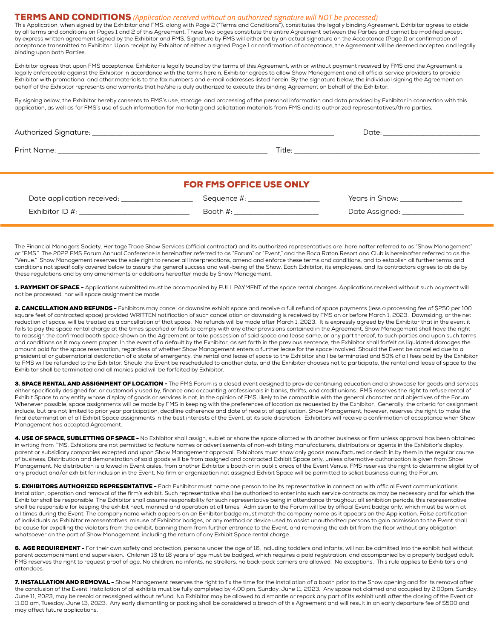#### TERMS AND CONDITIONS *(Application received without an authorized signature will NOT be processed)*

This Application, when signed by the Exhibitor and FMS, along with Page 2 ("Terms and Conditions"), constitutes the legally binding Agreement. Exhibitor agrees to abide by all terms and conditions on Pages 1 and 2 of this Agreement. These two pages constitute the entire Agreement between the Parties and cannot be modified except by express written agreement signed by the Exhibitor and FMS. Signature by FMS will either be by an actual signature on the Acceptance (Page 1) or confirmation of acceptance transmitted to Exhibitor. Upon receipt by Exhibitor of either a signed Page 1 or confirmation of acceptance, the Agreement will be deemed accepted and legally binding upon both Parties.

Exhibitor agrees that upon FMS acceptance, Exhibitor is legally bound by the terms of this Agreement, with or without payment received by FMS and the Agreement is legally enforceable against the Exhibitor in accordance with the terms herein. Exhibitor agrees to allow Show Management and all official service providers to provide Exhibitor with promotional and other materials to the fax numbers and e-mail addresses listed herein. By the signature below, the individual signing the Agreement on behalf of the Exhibitor represents and warrants that he/she is duly authorized to execute this binding Agreement on behalf of the Exhibitor.

By signing below, the Exhibitor hereby consents to FMS's use, storage, and processing of the personal information and data provided by Exhibitor in connection with this application, as well as for FMS's use of such information for marketing and solicitation materials from FMS and its authorized representatives/third parties.

|                                              | <b>FOR FMS OFFICE USE ONLY</b>                                                                                                                                                                                                 |                                 |  |  |  |
|----------------------------------------------|--------------------------------------------------------------------------------------------------------------------------------------------------------------------------------------------------------------------------------|---------------------------------|--|--|--|
| Date application received: _________________ | Sequence #: ____________________                                                                                                                                                                                               | Years in Show: ________________ |  |  |  |
| Exhibitor ID $\#$ :                          | Booth #: the state of the state of the state of the state of the state of the state of the state of the state of the state of the state of the state of the state of the state of the state of the state of the state of the s |                                 |  |  |  |

The Financial Managers Society, Heritage Trade Show Services (official contractor) and its authorized representatives are hereinafter referred to as "Show Management" or "FMS." The 2022 FMS Forum Annual Conference is hereinafter referred to as "Forum" or "Event," and the Boca Raton Resort and Club is hereinafter referred to as the "Venue." Show Management reserves the sole right to render all interpretations, amend and enforce these terms and conditions, and to establish all further terms and conditions not specifically covered below to assure the general success and well-being of the Show. Each Exhibitor, its employees, and its contractors agrees to abide by these regulations and by any amendments or additions hereafter made by Show Management.

1. PAYMENT OF SPACE - Applications submitted must be accompanied by FULL PAYMENT of the space rental charges. Applications received without such payment will not be processed, nor will space assignment be made.

2. CANCELLATION AND REFUNDS - Exhibitors may cancel or downsize exhibit space and receive a full refund of space payments (less a processing fee of \$250 per 100 square feet of contracted space) provided WRITTEN notification of such cancellation or downsizing is received by FMS on or before March 1, 2023. Downsizing, or the net reduction of space, will be treated as a cancellation of that space. No refunds will be made after March 1, 2023. It is expressly agreed by the Exhibitor that in the event it fails to pay the space rental charge at the times specified or fails to comply with any other provisions contained in the Agreement, Show Management shall have the right to reassign the confirmed booth space shown on the Agreement or take possession of said space and lease same, or any part thereof, to such parties and upon such terms and conditions as it may deem proper. In the event of a default by the Exhibitor, as set forth in the previous sentence, the Exhibitor shall forfeit as liquidated damages the amount paid for the space reservation, regardless of whether Show Management enters a further lease for the space involved. Should the Event be cancelled due to a presidential or gubernatorial declaration of a state of emergency, the rental and lease of space to the Exhibitor shall be terminated and 50% of all fees paid by the Exhibitor to FMS will be refunded to the Exhibitor. Should the Event be rescheduled to another date, and the Exhibitor chooses not to participate, the rental and lease of space to the Exhibitor shall be terminated and all monies paid will be forfeited by Exhibitor.

3. SPACE RENTAL AND ASSIGNMENT OF LOCATION - The FMS Forum is a closed event designed to provide continuing education and a showcase for goods and services either specifically designed for, or customarily used by, finance and accounting professionals in banks, thrifts, and credit unions. FMS reserves the right to refuse rental of Exhibit Space to any entity whose display of goods or services is not, in the opinion of FMS, likely to be compatible with the general character and objectives of the Forum. Whenever possible, space assignments will be made by FMS in keeping with the preferences of location as requested by the Exhibitor. Generally, the criteria for assignment include, but are not limited to prior year participation, deadline adherence and date of receipt of application. Show Management, however, reserves the right to make the final determination of all Exhibit Space assignments in the best interests of the Event, at its sole discretion. Exhibitors will receive a confirmation of acceptance when Show Management has accepted Agreement.

4. USE OF SPACE, SUBLETTING OF SPACE - No Exhibitor shall assign, sublet or share the space allotted with another business or firm unless approval has been obtained in writing from FMS. Exhibitors are not permitted to feature names or advertisements of non-exhibiting manufacturers, distributors or agents in the Exhibitor's display, parent or subsidiary companies excepted and upon Show Management approval. Exhibitors must show only goods manufactured or dealt in by them in the regular course of business. Distribution and demonstration of said goods will be from assigned and contracted Exhibit Space only, unless alternative authorization is given from Show Management. No distribution is allowed in Event aisles, from another Exhibitor's booth or in public areas of the Event Venue. FMS reserves the right to determine eligibility of any product and/or exhibit for inclusion in the Event. No firm or organization not assigned Exhibit Space will be permitted to solicit business during the Forum.

**5. EXHIBITORS AUTHORIZED REPRESENTATIVE -** Each Exhibitor must name one person to be its representative in connection with official Event communications, installation, operation and removal of the firm's exhibit. Such representative shall be authorized to enter into such service contracts as may be necessary and for which the Exhibitor shall be responsible. The Exhibitor shall assume responsibility for such representative being in attendance throughout all exhibition periods; this representative shall be responsible for keeping the exhibit neat, manned and operation at all times. Admission to the Forum will be by official Event badge only, which must be worn at all times during the Event. The company name which appears on an Exhibitor badge must match the company name as it appears on the Application. False certification of individuals as Exhibitor representatives, misuse of Exhibitor badges, or any method or device used to assist unauthorized persons to gain admission to the Event shall be cause for expelling the violators from the exhibit, banning them from further entrance to the Event, and removing the exhibit from the floor without any obligation whatsoever on the part of Show Management, including the return of any Exhibit Space rental charge.

6. AGE REQUIREMENT - For their own safety and protection, persons under the age of 16, including toddlers and infants, will not be admitted into the exhibit hall without parent accompaniment and supervision. Children 16 to 18 years of age must be badged, which requires a paid registration, and accompanied by a properly badged adult. FMS reserves the right to request proof of age. No children, no infants, no strollers, no back-pack carriers are allowed. No exceptions. This rule applies to Exhibitors and attendees.

7. INSTALLATION AND REMOVAL - Show Management reserves the right to fix the time for the installation of a booth prior to the Show opening and for its removal after the conclusion of the Event. Installation of all exhibits must be fully completed by 4:00 pm, Sunday, June 11, 2023. Any space not claimed and occupied by 2:00pm, Sunday, June 11, 2023, may be resold or reassigned without refund. No Exhibitor may be allowed to dismantle or repack any part of its exhibit until after the closing of the Event at 11:00 am, Tuesday, June 13, 2023. Any early dismantling or packing shall be considered a breach of this Agreement and will result in an early departure fee of \$500 and may affect future applications.